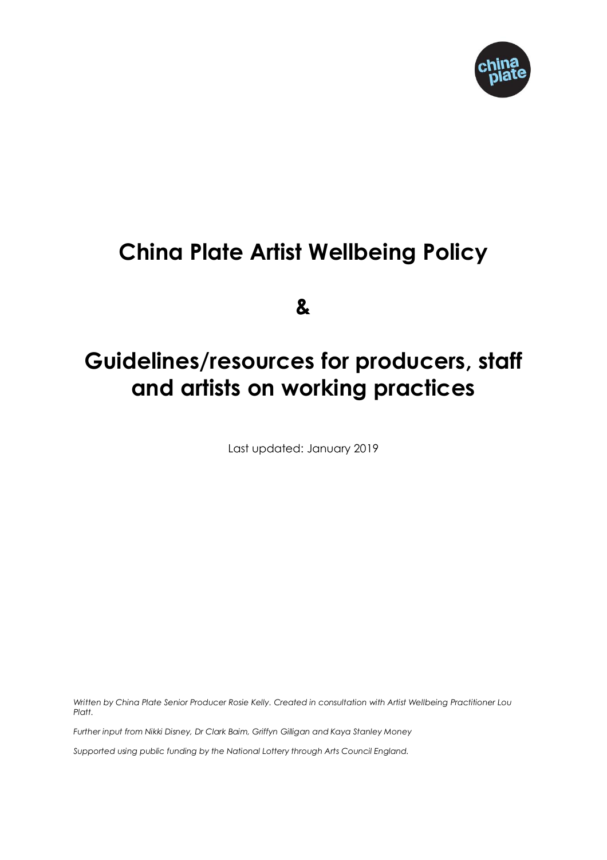

# **China Plate Artist Wellbeing Policy**

**&**

# **Guidelines/resources for producers, staff and artists on working practices**

Last updated: January 2019

*Written by China Plate Senior Producer Rosie Kelly. Created in consultation with Artist Wellbeing Practitioner Lou Platt.*

*Further input from Nikki Disney, Dr Clark Baim, Griffyn Gilligan and Kaya Stanley Money*

*Supported using public funding by the National Lottery through Arts Council England.*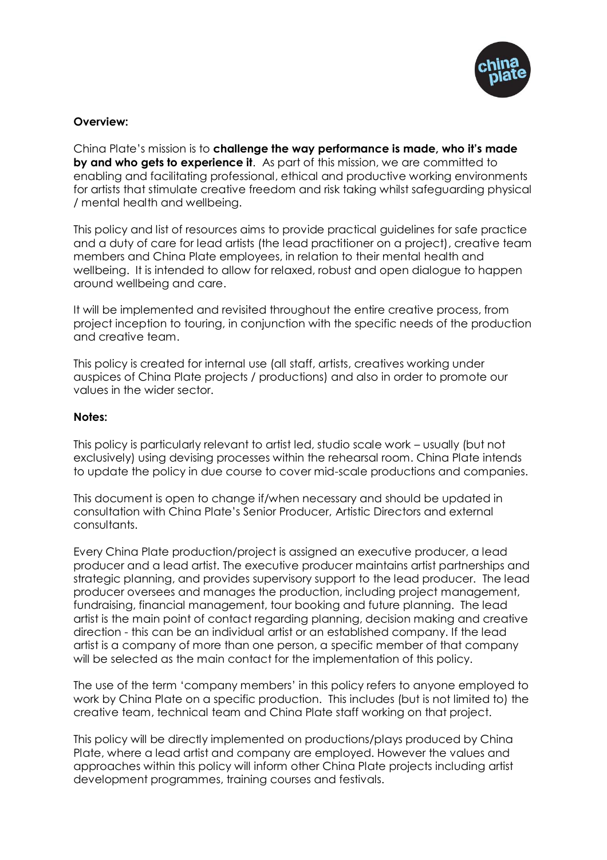

#### **Overview:**

China Plate's mission is to **challenge the way performance is made, who it's made by and who gets to experience it**. As part of this mission, we are committed to enabling and facilitating professional, ethical and productive working environments for artists that stimulate creative freedom and risk taking whilst safeguarding physical / mental health and wellbeing.

This policy and list of resources aims to provide practical guidelines for safe practice and a duty of care for lead artists (the lead practitioner on a project), creative team members and China Plate employees, in relation to their mental health and wellbeing. It is intended to allow for relaxed, robust and open dialogue to happen around wellbeing and care.

It will be implemented and revisited throughout the entire creative process, from project inception to touring, in conjunction with the specific needs of the production and creative team.

This policy is created for internal use (all staff, artists, creatives working under auspices of China Plate projects / productions) and also in order to promote our values in the wider sector.

#### **Notes:**

This policy is particularly relevant to artist led, studio scale work – usually (but not exclusively) using devising processes within the rehearsal room. China Plate intends to update the policy in due course to cover mid-scale productions and companies.

This document is open to change if/when necessary and should be updated in consultation with China Plate's Senior Producer, Artistic Directors and external consultants.

Every China Plate production/project is assigned an executive producer, a lead producer and a lead artist. The executive producer maintains artist partnerships and strategic planning, and provides supervisory support to the lead producer. The lead producer oversees and manages the production, including project management, fundraising, financial management, tour booking and future planning. The lead artist is the main point of contact regarding planning, decision making and creative direction - this can be an individual artist or an established company. If the lead artist is a company of more than one person, a specific member of that company will be selected as the main contact for the implementation of this policy.

The use of the term 'company members' in this policy refers to anyone employed to work by China Plate on a specific production. This includes (but is not limited to) the creative team, technical team and China Plate staff working on that project.

This policy will be directly implemented on productions/plays produced by China Plate, where a lead artist and company are employed. However the values and approaches within this policy will inform other China Plate projects including artist development programmes, training courses and festivals.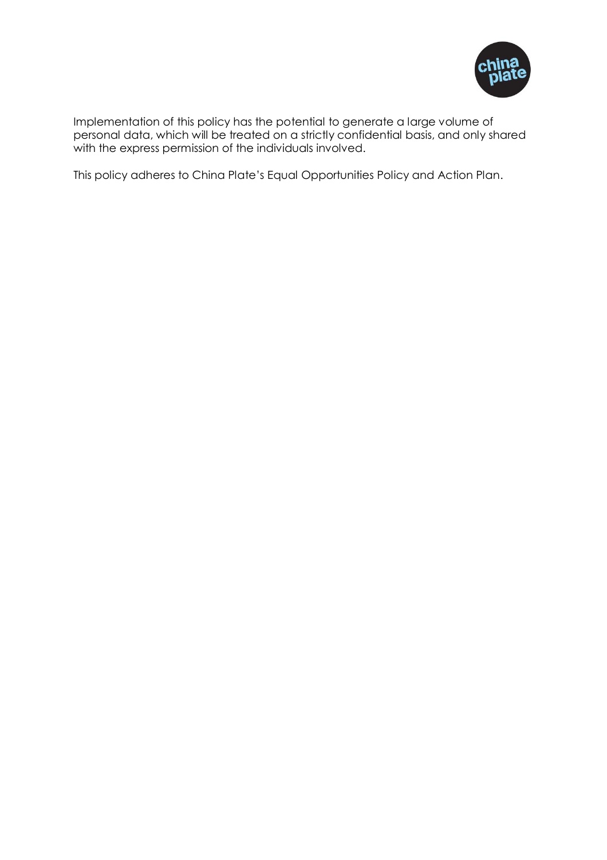

Implementation of this policy has the potential to generate a large volume of personal data, which will be treated on a strictly confidential basis, and only shared with the express permission of the individuals involved.

This policy adheres to China Plate's Equal Opportunities Policy and Action Plan.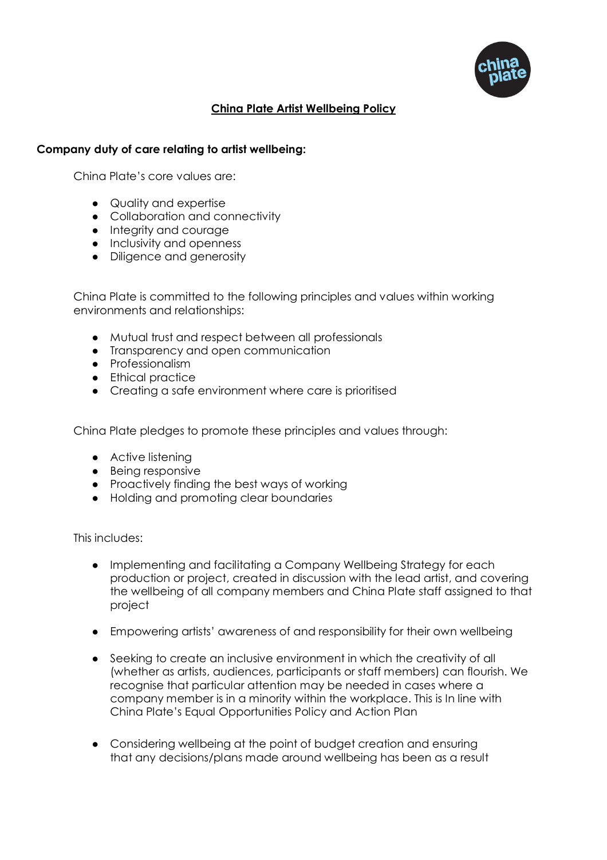

# **China Plate Artist Wellbeing Policy**

# **Company duty of care relating to artist wellbeing:**

China Plate's core values are:

- Quality and expertise
- Collaboration and connectivity
- Integrity and courage
- Inclusivity and openness
- Diligence and generosity

China Plate is committed to the following principles and values within working environments and relationships:

- Mutual trust and respect between all professionals
- Transparency and open communication
- Professionalism
- Ethical practice
- Creating a safe environment where care is prioritised

China Plate pledges to promote these principles and values through:

- Active listening
- Being responsive
- Proactively finding the best ways of working
- Holding and promoting clear boundaries

This includes:

- Implementing and facilitating a Company Wellbeing Strategy for each production or project, created in discussion with the lead artist, and covering the wellbeing of all company members and China Plate staff assigned to that project
- Empowering artists' awareness of and responsibility for their own wellbeing
- Seeking to create an inclusive environment in which the creativity of all (whether as artists, audiences, participants or staff members) can flourish. We recognise that particular attention may be needed in cases where a company member is in a minority within the workplace. This is In line with China Plate's Equal Opportunities Policy and Action Plan
- Considering wellbeing at the point of budget creation and ensuring that any decisions/plans made around wellbeing has been as a result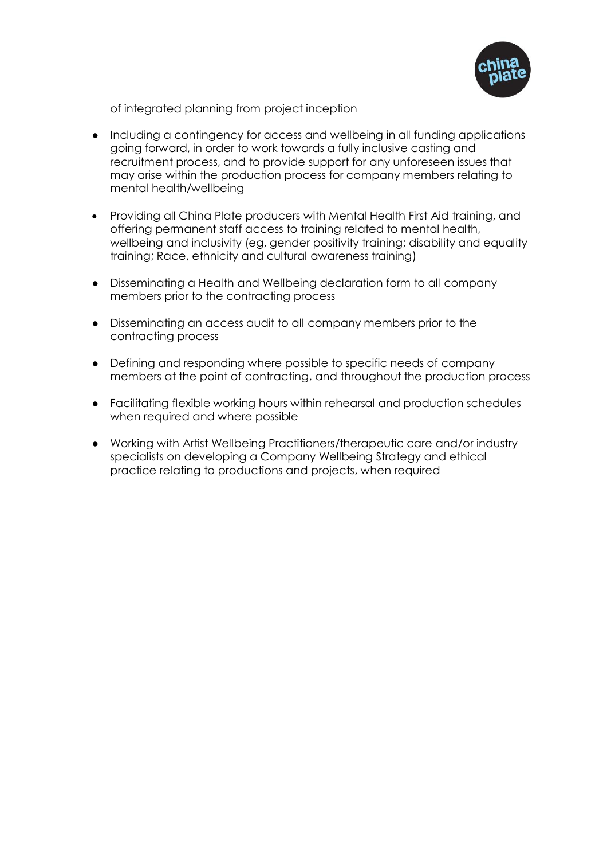

of integrated planning from project inception

- Including a contingency for access and wellbeing in all funding applications going forward, in order to work towards a fully inclusive casting and recruitment process, and to provide support for any unforeseen issues that may arise within the production process for company members relating to mental health/wellbeing
- Providing all China Plate producers with Mental Health First Aid training, and offering permanent staff access to training related to mental health, wellbeing and inclusivity (eg, gender positivity training; disability and equality training; Race, ethnicity and cultural awareness training)
- Disseminating a Health and Wellbeing declaration form to all company members prior to the contracting process
- Disseminating an access audit to all company members prior to the contracting process
- Defining and responding where possible to specific needs of company members at the point of contracting, and throughout the production process
- Facilitating flexible working hours within rehearsal and production schedules when required and where possible
- Working with Artist Wellbeing Practitioners/therapeutic care and/or industry specialists on developing a Company Wellbeing Strategy and ethical practice relating to productions and projects, when required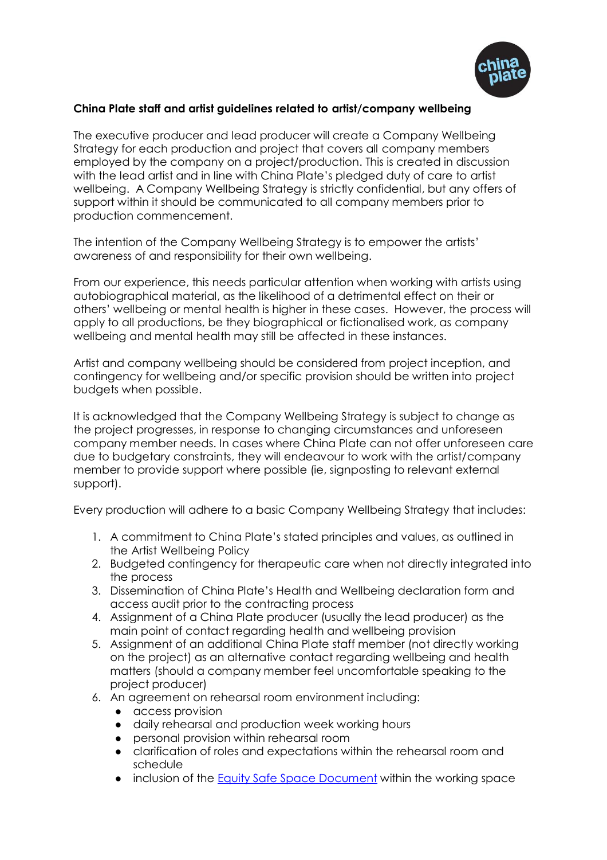

# **China Plate staff and artist guidelines related to artist/company wellbeing**

The executive producer and lead producer will create a Company Wellbeing Strategy for each production and project that covers all company members employed by the company on a project/production. This is created in discussion with the lead artist and in line with China Plate's pledged duty of care to artist wellbeing. A Company Wellbeing Strategy is strictly confidential, but any offers of support within it should be communicated to all company members prior to production commencement.

The intention of the Company Wellbeing Strategy is to empower the artists' awareness of and responsibility for their own wellbeing.

From our experience, this needs particular attention when working with artists using autobiographical material, as the likelihood of a detrimental effect on their or others' wellbeing or mental health is higher in these cases. However, the process will apply to all productions, be they biographical or fictionalised work, as company wellbeing and mental health may still be affected in these instances.

Artist and company wellbeing should be considered from project inception, and contingency for wellbeing and/or specific provision should be written into project budgets when possible.

It is acknowledged that the Company Wellbeing Strategy is subject to change as the project progresses, in response to changing circumstances and unforeseen company member needs. In cases where China Plate can not offer unforeseen care due to budgetary constraints, they will endeavour to work with the artist/company member to provide support where possible (ie, signposting to relevant external support).

Every production will adhere to a basic Company Wellbeing Strategy that includes:

- 1. A commitment to China Plate's stated principles and values, as outlined in the Artist Wellbeing Policy
- 2. Budgeted contingency for therapeutic care when not directly integrated into the process
- 3. Dissemination of China Plate's Health and Wellbeing declaration form and access audit prior to the contracting process
- 4. Assignment of a China Plate producer (usually the lead producer) as the main point of contact regarding health and wellbeing provision
- 5. Assignment of an additional China Plate staff member (not directly working on the project) as an alternative contact regarding wellbeing and health matters (should a company member feel uncomfortable speaking to the project producer)
- 6. An agreement on rehearsal room environment including:
	- access provision
	- daily rehearsal and production week working hours
	- personal provision within rehearsal room
	- clarification of roles and expectations within the rehearsal room and schedule
	- inclusion of the [Equity Safe Space Document](https://www.equity.org.uk/getting-involved/campaigns/safe-spaces/) within the working space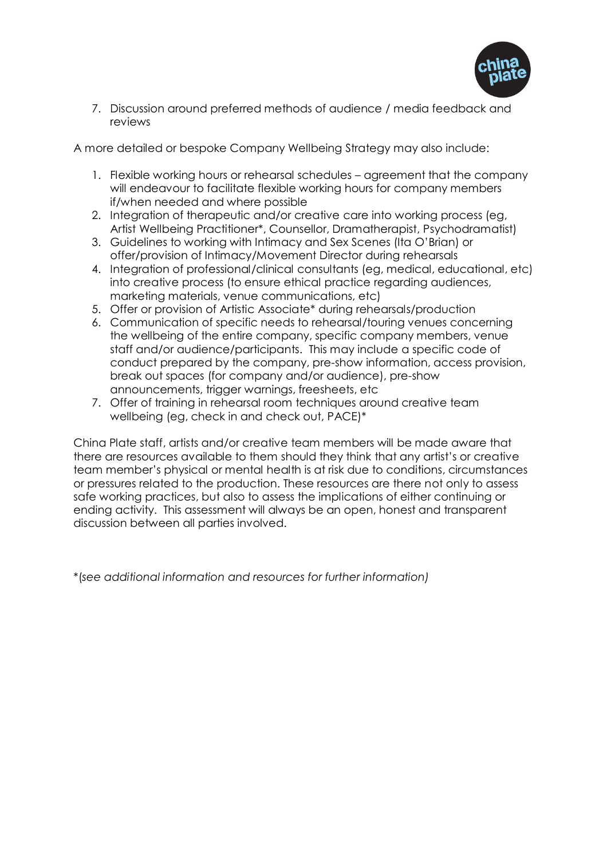

7. Discussion around preferred methods of audience / media feedback and reviews

A more detailed or bespoke Company Wellbeing Strategy may also include:

- 1. Flexible working hours or rehearsal schedules agreement that the company will endeavour to facilitate flexible working hours for company members if/when needed and where possible
- 2. Integration of therapeutic and/or creative care into working process (eg, Artist Wellbeing Practitioner\*, Counsellor, Dramatherapist, Psychodramatist)
- 3. Guidelines to working with Intimacy and Sex Scenes (Ita O'Brian) or offer/provision of Intimacy/Movement Director during rehearsals
- 4. Integration of professional/clinical consultants (eg, medical, educational, etc) into creative process (to ensure ethical practice regarding audiences, marketing materials, venue communications, etc)
- 5. Offer or provision of Artistic Associate\* during rehearsals/production
- 6. Communication of specific needs to rehearsal/touring venues concerning the wellbeing of the entire company, specific company members, venue staff and/or audience/participants. This may include a specific code of conduct prepared by the company, pre-show information, access provision, break out spaces (for company and/or audience), pre-show announcements, trigger warnings, freesheets, etc
- 7. Offer of training in rehearsal room techniques around creative team wellbeing (eg, check in and check out, PACE)\*

China Plate staff, artists and/or creative team members will be made aware that there are resources available to them should they think that any artist's or creative team member's physical or mental health is at risk due to conditions, circumstances or pressures related to the production. These resources are there not only to assess safe working practices, but also to assess the implications of either continuing or ending activity. This assessment will always be an open, honest and transparent discussion between all parties involved.

\*(*see additional information and resources for further information)*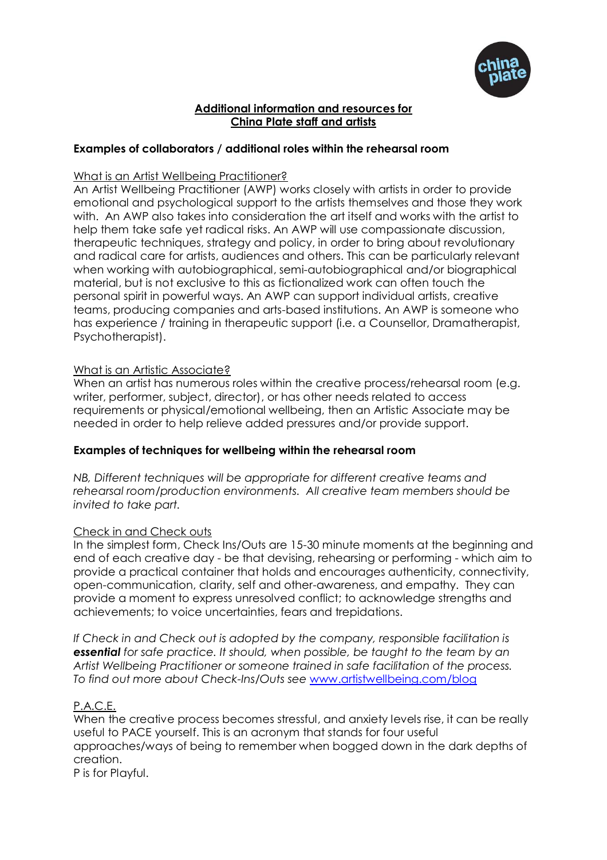

#### **Additional information and resources for China Plate staff and artists**

# **Examples of collaborators / additional roles within the rehearsal room**

#### What is an Artist Wellbeing Practitioner?

An Artist Wellbeing Practitioner (AWP) works closely with artists in order to provide emotional and psychological support to the artists themselves and those they work with. An AWP also takes into consideration the art itself and works with the artist to help them take safe yet radical risks. An AWP will use compassionate discussion, therapeutic techniques, strategy and policy, in order to bring about revolutionary and radical care for artists, audiences and others. This can be particularly relevant when working with autobiographical, semi-autobiographical and/or biographical material, but is not exclusive to this as fictionalized work can often touch the personal spirit in powerful ways. An AWP can support individual artists, creative teams, producing companies and arts-based institutions. An AWP is someone who has experience / training in therapeutic support (i.e. a Counsellor, Dramatherapist, Psychotherapist).

#### What is an Artistic Associate?

When an artist has numerous roles within the creative process/rehearsal room (e.g. writer, performer, subject, director), or has other needs related to access requirements or physical/emotional wellbeing, then an Artistic Associate may be needed in order to help relieve added pressures and/or provide support.

# **Examples of techniques for wellbeing within the rehearsal room**

*NB, Different techniques will be appropriate for different creative teams and rehearsal room/production environments. All creative team members should be invited to take part.* 

# Check in and Check outs

In the simplest form, Check Ins/Outs are 15-30 minute moments at the beginning and end of each creative day - be that devising, rehearsing or performing - which aim to provide a practical container that holds and encourages authenticity, connectivity, open-communication, clarity, self and other-awareness, and empathy. They can provide a moment to express unresolved conflict; to acknowledge strengths and achievements; to voice uncertainties, fears and trepidations.

*If Check in and Check out is adopted by the company, responsible facilitation is essential for safe practice. It should, when possible, be taught to the team by an Artist Wellbeing Practitioner or someone trained in safe facilitation of the process. To find out more about Check-Ins/Outs see* [www.artistwellbeing.com/blog](http://www.artistwellbeing.com/blog)

# P.A.C.E.

When the creative process becomes stressful, and anxiety levels rise, it can be really useful to PACE yourself. This is an acronym that stands for four useful approaches/ways of being to remember when bogged down in the dark depths of creation.

P is for Playful.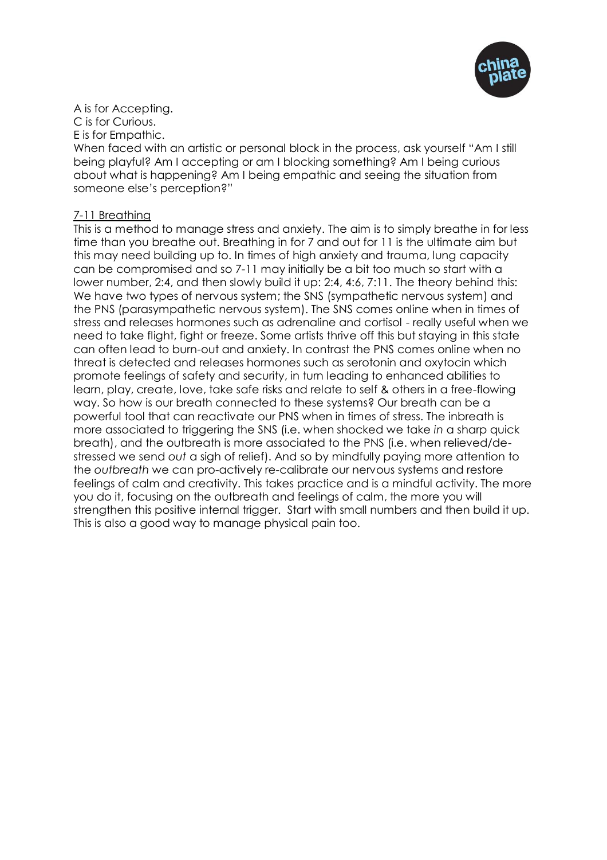

A is for Accepting. C is for Curious. E is for Empathic.

When faced with an artistic or personal block in the process, ask yourself "Am I still being playful? Am I accepting or am I blocking something? Am I being curious about what is happening? Am I being empathic and seeing the situation from someone else's perception?"

## 7-11 Breathing

This is a method to manage stress and anxiety. The aim is to simply breathe in for less time than you breathe out. Breathing in for 7 and out for 11 is the ultimate aim but this may need building up to. In times of high anxiety and trauma, lung capacity can be compromised and so 7-11 may initially be a bit too much so start with a lower number, 2:4, and then slowly build it up: 2:4, 4:6, 7:11. The theory behind this: We have two types of nervous system; the SNS (sympathetic nervous system) and the PNS (parasympathetic nervous system). The SNS comes online when in times of stress and releases hormones such as adrenaline and cortisol - really useful when we need to take flight, fight or freeze. Some artists thrive off this but staying in this state can often lead to burn-out and anxiety. In contrast the PNS comes online when no threat is detected and releases hormones such as serotonin and oxytocin which promote feelings of safety and security, in turn leading to enhanced abilities to learn, play, create, love, take safe risks and relate to self & others in a free-flowing way. So how is our breath connected to these systems? Our breath can be a powerful tool that can reactivate our PNS when in times of stress. The inbreath is more associated to triggering the SNS (i.e. when shocked we take *in* a sharp quick breath), and the outbreath is more associated to the PNS (i.e. when relieved/destressed we send *out* a sigh of relief). And so by mindfully paying more attention to the *outbreath* we can pro-actively re-calibrate our nervous systems and restore feelings of calm and creativity. This takes practice and is a mindful activity. The more you do it, focusing on the outbreath and feelings of calm, the more you will strengthen this positive internal trigger. Start with small numbers and then build it up. This is also a good way to manage physical pain too.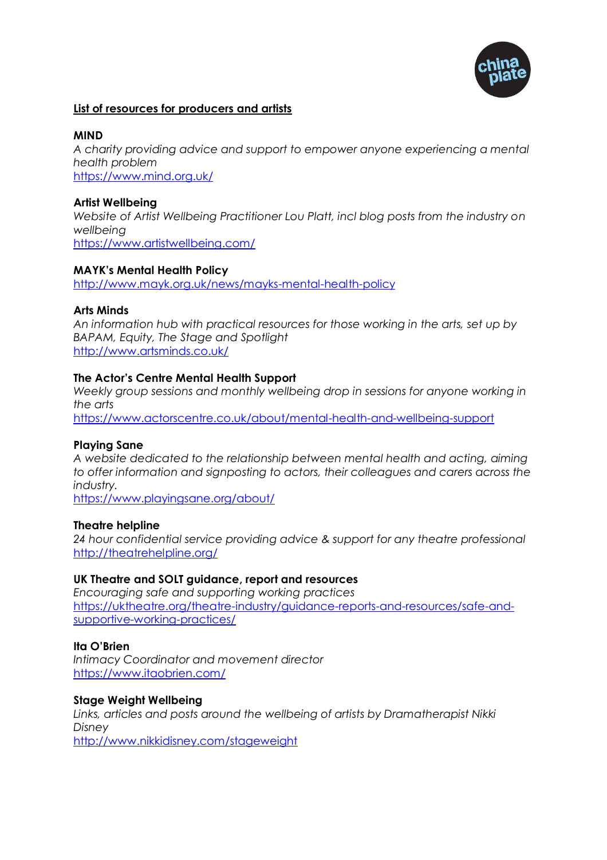

#### **List of resources for producers and artists**

#### **MIND**

*A charity providing advice and support to empower anyone experiencing a mental health problem*  <https://www.mind.org.uk/>

#### **Artist Wellbeing**

*Website of Artist Wellbeing Practitioner Lou Platt, incl blog posts from the industry on wellbeing* <https://www.artistwellbeing.com/>

#### **MAYK's Mental Health Policy**

<http://www.mayk.org.uk/news/mayks-mental-health-policy>

#### **Arts Minds**

*An information hub with practical resources for those working in the arts, set up by BAPAM, Equity, The Stage and Spotlight* <http://www.artsminds.co.uk/>

#### **The Actor's Centre Mental Health Support**

Weekly group sessions and monthly wellbeing drop in sessions for anyone working in *the arts*

<https://www.actorscentre.co.uk/about/mental-health-and-wellbeing-support>

#### **Playing Sane**

*A website dedicated to the relationship between mental health and acting, aiming to offer information and signposting to actors, their colleagues and carers across the industry.*

<https://www.playingsane.org/about/>

#### **Theatre helpline**

*24 hour confidential service providing advice & support for any theatre professional* <http://theatrehelpline.org/>

# **UK Theatre and SOLT guidance, report and resources**

*Encouraging safe and supporting working practices* [https://uktheatre.org/theatre-industry/guidance-reports-and-resources/safe-and](https://uktheatre.org/theatre-industry/guidance-reports-and-resources/safe-and-supportive-working-practices/)[supportive-working-practices/](https://uktheatre.org/theatre-industry/guidance-reports-and-resources/safe-and-supportive-working-practices/)

#### **Ita O'Brien**

*Intimacy Coordinator and movement director* <https://www.itaobrien.com/>

#### **Stage Weight Wellbeing**

*Links, articles and posts around the wellbeing of artists by Dramatherapist Nikki Disney*

<http://www.nikkidisney.com/stageweight>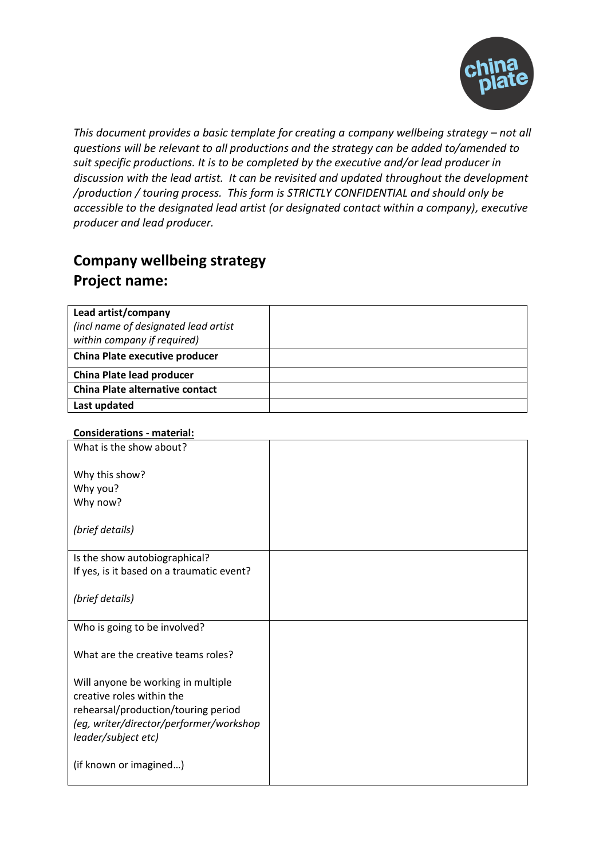

*This document provides a basic template for creating a company wellbeing strategy – not all questions will be relevant to all productions and the strategy can be added to/amended to suit specific productions. It is to be completed by the executive and/or lead producer in discussion with the lead artist. It can be revisited and updated throughout the development /production / touring process. This form is STRICTLY CONFIDENTIAL and should only be accessible to the designated lead artist (or designated contact within a company), executive producer and lead producer.*

# **Company wellbeing strategy Project name:**

| Lead artist/company                                                 |  |
|---------------------------------------------------------------------|--|
| (incl name of designated lead artist<br>within company if required) |  |
|                                                                     |  |
| China Plate executive producer                                      |  |
| <b>China Plate lead producer</b>                                    |  |
| <b>China Plate alternative contact</b>                              |  |
| Last updated                                                        |  |

# **Considerations - material:**

| What is the show about?                   |  |
|-------------------------------------------|--|
| Why this show?<br>Why you?<br>Why now?    |  |
| (brief details)                           |  |
| Is the show autobiographical?             |  |
| If yes, is it based on a traumatic event? |  |
| (brief details)                           |  |
| Who is going to be involved?              |  |
| What are the creative teams roles?        |  |
| Will anyone be working in multiple        |  |
| creative roles within the                 |  |
| rehearsal/production/touring period       |  |
| (eg, writer/director/performer/workshop   |  |
| leader/subject etc)                       |  |
| (if known or imagined)                    |  |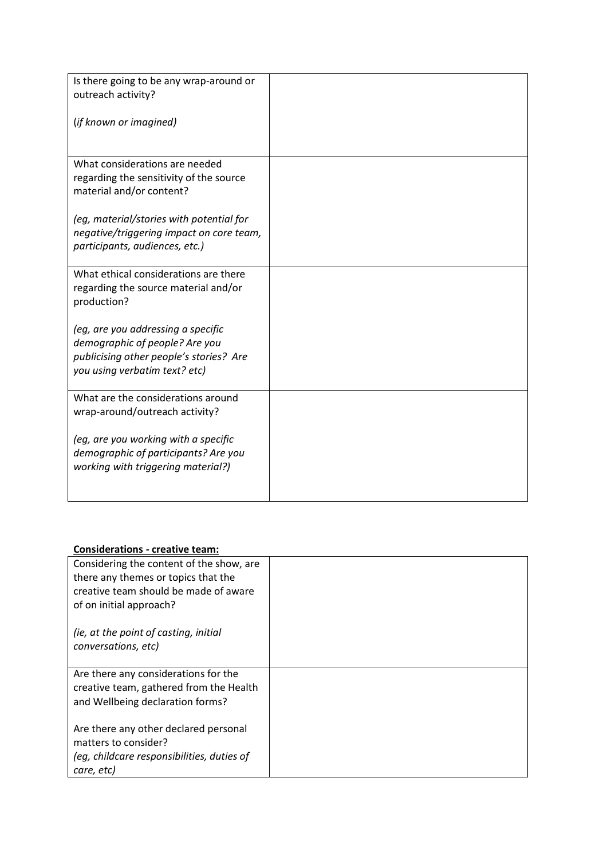| Is there going to be any wrap-around or<br>outreach activity?                                                                                    |  |
|--------------------------------------------------------------------------------------------------------------------------------------------------|--|
| (if known or imagined)                                                                                                                           |  |
| What considerations are needed<br>regarding the sensitivity of the source<br>material and/or content?                                            |  |
| (eg, material/stories with potential for<br>negative/triggering impact on core team,<br>participants, audiences, etc.)                           |  |
| What ethical considerations are there<br>regarding the source material and/or<br>production?                                                     |  |
| (eg, are you addressing a specific<br>demographic of people? Are you<br>publicising other people's stories? Are<br>you using verbatim text? etc) |  |
| What are the considerations around<br>wrap-around/outreach activity?                                                                             |  |
| (eg, are you working with a specific<br>demographic of participants? Are you<br>working with triggering material?)                               |  |

## **Considerations - creative team:**

| Considering the content of the show, are   |  |
|--------------------------------------------|--|
| there any themes or topics that the        |  |
| creative team should be made of aware      |  |
| of on initial approach?                    |  |
| (ie, at the point of casting, initial      |  |
| conversations, etc)                        |  |
|                                            |  |
| Are there any considerations for the       |  |
| creative team, gathered from the Health    |  |
| and Wellbeing declaration forms?           |  |
|                                            |  |
| Are there any other declared personal      |  |
| matters to consider?                       |  |
| (eq, childcare responsibilities, duties of |  |
| care, etc)                                 |  |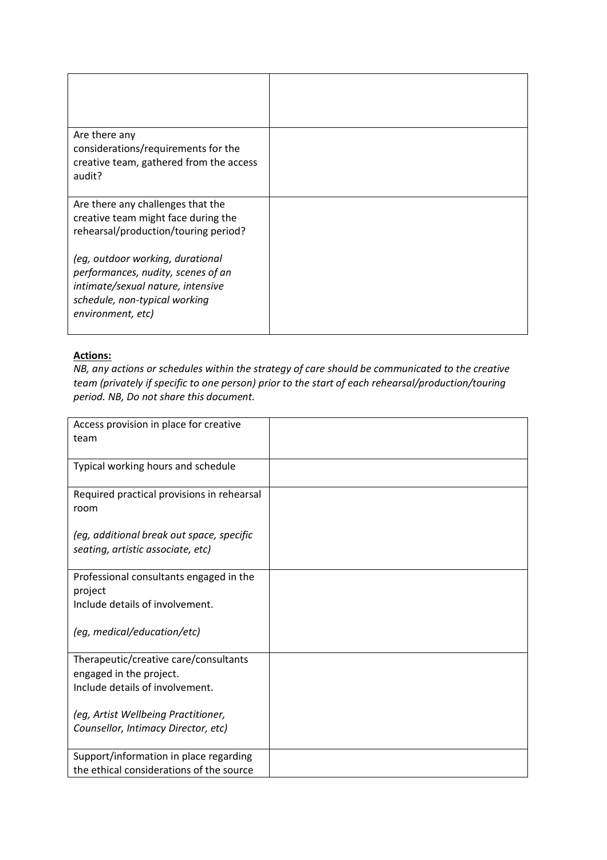| Are there any<br>considerations/requirements for the<br>creative team, gathered from the access<br>audit?                                                         |  |
|-------------------------------------------------------------------------------------------------------------------------------------------------------------------|--|
| Are there any challenges that the<br>creative team might face during the<br>rehearsal/production/touring period?                                                  |  |
| (eg, outdoor working, durational<br>performances, nudity, scenes of an<br>intimate/sexual nature, intensive<br>schedule, non-typical working<br>environment, etc) |  |

# **Actions:**

*NB, any actions or schedules within the strategy of care should be communicated to the creative team (privately if specific to one person) prior to the start of each rehearsal/production/touring period. NB, Do not share this document.*

| Access provision in place for creative     |  |
|--------------------------------------------|--|
| team                                       |  |
|                                            |  |
| Typical working hours and schedule         |  |
|                                            |  |
| Required practical provisions in rehearsal |  |
| room                                       |  |
|                                            |  |
| (eg, additional break out space, specific  |  |
| seating, artistic associate, etc)          |  |
|                                            |  |
| Professional consultants engaged in the    |  |
| project                                    |  |
| Include details of involvement.            |  |
|                                            |  |
| (eg, medical/education/etc)                |  |
|                                            |  |
| Therapeutic/creative care/consultants      |  |
| engaged in the project.                    |  |
| Include details of involvement.            |  |
|                                            |  |
| (eg, Artist Wellbeing Practitioner,        |  |
| Counsellor, Intimacy Director, etc)        |  |
|                                            |  |
| Support/information in place regarding     |  |
| the ethical considerations of the source   |  |